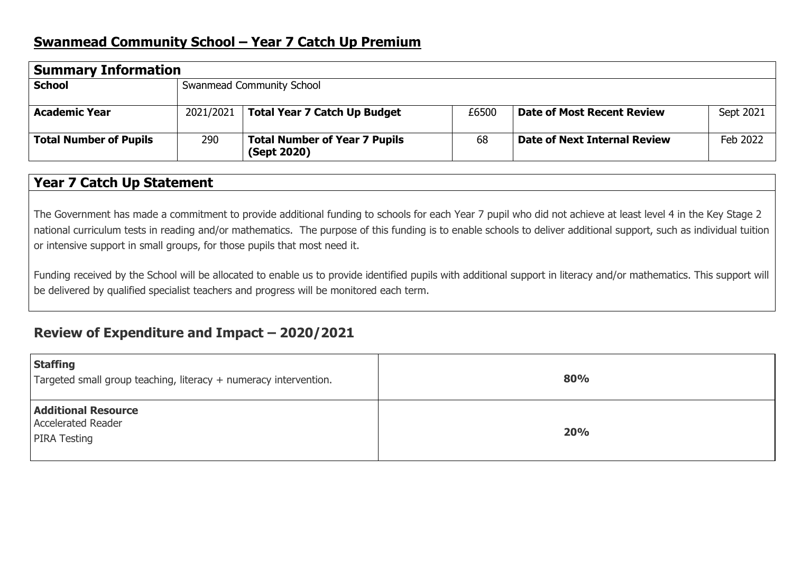## **Swanmead Community School – Year 7 Catch Up Premium**

| <b>Summary Information</b>    |                           |                                                     |       |                                     |           |  |  |  |
|-------------------------------|---------------------------|-----------------------------------------------------|-------|-------------------------------------|-----------|--|--|--|
| <b>School</b>                 | Swanmead Community School |                                                     |       |                                     |           |  |  |  |
| <b>Academic Year</b>          | 2021/2021                 | <b>Total Year 7 Catch Up Budget</b>                 | £6500 | <b>Date of Most Recent Review</b>   | Sept 2021 |  |  |  |
| <b>Total Number of Pupils</b> | 290                       | <b>Total Number of Year 7 Pupils</b><br>(Sept 2020) | 68    | <b>Date of Next Internal Review</b> | Feb 2022  |  |  |  |

## **Year 7 Catch Up Statement**

The Government has made a commitment to provide additional funding to schools for each Year 7 pupil who did not achieve at least level 4 in the Key Stage 2 national curriculum tests in reading and/or mathematics. The purpose of this funding is to enable schools to deliver additional support, such as individual tuition or intensive support in small groups, for those pupils that most need it.

Funding received by the School will be allocated to enable us to provide identified pupils with additional support in literacy and/or mathematics. This support will be delivered by qualified specialist teachers and progress will be monitored each term.

# **Review of Expenditure and Impact – 2020/2021**

| Staffing<br>Targeted small group teaching, literacy + numeracy intervention.   | 80% |
|--------------------------------------------------------------------------------|-----|
| <b>Additional Resource</b><br><b>Accelerated Reader</b><br><b>PIRA Testing</b> | 20% |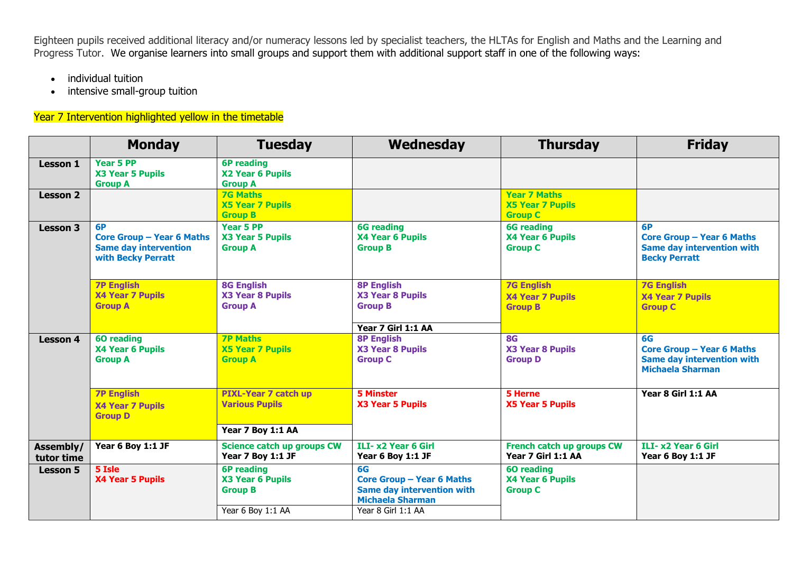Eighteen pupils received additional literacy and/or numeracy lessons led by specialist teachers, the HLTAs for English and Maths and the Learning and Progress Tutor. We organise learners into small groups and support them with additional support staff in one of the following ways:

- individual tuition
- intensive small-group tuition

#### Year 7 Intervention highlighted yellow in the timetable

|                         | <b>Monday</b>                                                                                       | <b>Tuesday</b>                                                            | Wednesday                                                                                              | <b>Thursday</b>                                                  | <b>Friday</b>                                                                                          |
|-------------------------|-----------------------------------------------------------------------------------------------------|---------------------------------------------------------------------------|--------------------------------------------------------------------------------------------------------|------------------------------------------------------------------|--------------------------------------------------------------------------------------------------------|
| <b>Lesson 1</b>         | <b>Year 5 PP</b><br>X3 Year 5 Pupils<br><b>Group A</b>                                              | <b>6P</b> reading<br>X2 Year 6 Pupils<br><b>Group A</b>                   |                                                                                                        |                                                                  |                                                                                                        |
| <b>Lesson 2</b>         |                                                                                                     | <b>7G Maths</b><br><b>X5 Year 7 Pupils</b><br><b>Group B</b>              |                                                                                                        | <b>Year 7 Maths</b><br><b>X5 Year 7 Pupils</b><br><b>Group C</b> |                                                                                                        |
| <b>Lesson 3</b>         | <b>6P</b><br><b>Core Group - Year 6 Maths</b><br><b>Same day intervention</b><br>with Becky Perratt | <b>Year 5 PP</b><br>X3 Year 5 Pupils<br><b>Group A</b>                    | <b>6G</b> reading<br>X4 Year 6 Pupils<br><b>Group B</b>                                                | <b>6G</b> reading<br>X4 Year 6 Pupils<br><b>Group C</b>          | 6P<br><b>Core Group - Year 6 Maths</b><br><b>Same day intervention with</b><br><b>Becky Perratt</b>    |
|                         | <b>7P English</b><br><b>X4 Year 7 Pupils</b><br><b>Group A</b>                                      | <b>8G English</b><br><b>X3 Year 8 Pupils</b><br><b>Group A</b>            | <b>8P English</b><br>X3 Year 8 Pupils<br><b>Group B</b><br>Year 7 Girl 1:1 AA                          | <b>7G English</b><br><b>X4 Year 7 Pupils</b><br><b>Group B</b>   | <b>7G English</b><br><b>X4 Year 7 Pupils</b><br><b>Group C</b>                                         |
| <b>Lesson 4</b>         | <b>60 reading</b><br>X4 Year 6 Pupils<br><b>Group A</b>                                             | <b>7P Maths</b><br><b>X5 Year 7 Pupils</b><br><b>Group A</b>              | <b>8P English</b><br>X3 Year 8 Pupils<br><b>Group C</b>                                                | <b>8G</b><br>X3 Year 8 Pupils<br><b>Group D</b>                  | 6G<br><b>Core Group - Year 6 Maths</b><br><b>Same day intervention with</b><br><b>Michaela Sharman</b> |
|                         | <b>7P English</b><br><b>X4 Year 7 Pupils</b><br><b>Group D</b>                                      | <b>PIXL-Year 7 catch up</b><br><b>Various Pupils</b><br>Year 7 Boy 1:1 AA | <b>5 Minster</b><br>X3 Year 5 Pupils                                                                   | 5 Herne<br><b>X5 Year 5 Pupils</b>                               | Year 8 Girl 1:1 AA                                                                                     |
| Assembly/<br>tutor time | Year 6 Boy 1:1 JF                                                                                   | Science catch up groups CW<br>Year 7 Boy 1:1 JF                           | ILI- x2 Year 6 Girl<br>Year 6 Boy 1:1 JF                                                               | French catch up groups CW<br>Year 7 Girl 1:1 AA                  | ILI- x2 Year 6 Girl<br>Year 6 Boy 1:1 JF                                                               |
| <b>Lesson 5</b>         | 5 Isle<br><b>X4 Year 5 Pupils</b>                                                                   | <b>6P</b> reading<br>X3 Year 6 Pupils<br><b>Group B</b>                   | 6G<br><b>Core Group - Year 6 Maths</b><br><b>Same day intervention with</b><br><b>Michaela Sharman</b> | <b>60 reading</b><br>X4 Year 6 Pupils<br><b>Group C</b>          |                                                                                                        |
|                         |                                                                                                     | Year 6 Boy 1:1 AA                                                         | Year 8 Girl 1:1 AA                                                                                     |                                                                  |                                                                                                        |